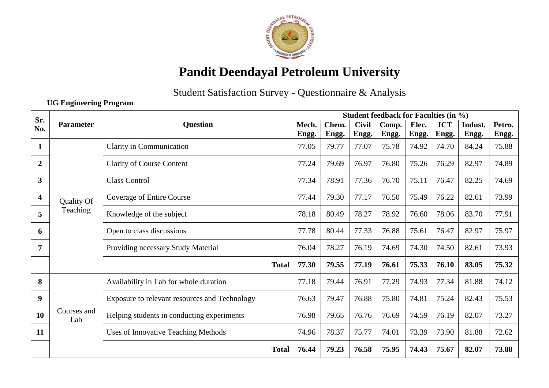

## **Pandit Deendayal Petroleum University**

Student Satisfaction Survey - Questionnaire & Analysis

**UG Engineering Program**

| Sr.              |                    |                                                                                                                                                              | <b>Student feedback for Faculties (in %)</b> |       |              |       |       |            |         |        |
|------------------|--------------------|--------------------------------------------------------------------------------------------------------------------------------------------------------------|----------------------------------------------|-------|--------------|-------|-------|------------|---------|--------|
| No.              | Parameter          | <b>Question</b>                                                                                                                                              | Mech.                                        | Chem. | <b>Civil</b> | Comp. | Elec. | <b>ICT</b> | Indust. | Petro. |
|                  |                    |                                                                                                                                                              | Engg.                                        | Engg. | Engg.        | Engg. | Engg. | Engg.      | Engg.   | Engg.  |
| $\mathbf 1$      |                    | Clarity in Communication                                                                                                                                     | 77.05                                        | 79.77 | 77.07        | 75.78 | 74.92 | 74.70      | 84.24   | 75.88  |
| $\boldsymbol{2}$ |                    | <b>Clarity of Course Content</b>                                                                                                                             | 77.24                                        | 79.69 | 76.97        | 76.80 | 75.26 | 76.29      | 82.97   | 74.89  |
| 3                |                    | <b>Class Control</b><br>Coverage of Entire Course<br>Teaching<br>Knowledge of the subject<br>Open to class discussions<br>Providing necessary Study Material |                                              | 78.91 | 77.36        | 76.70 | 75.11 | 76.47      | 82.25   | 74.69  |
| 4                | Quality Of         |                                                                                                                                                              |                                              | 79.30 | 77.17        | 76.50 | 75.49 | 76.22      | 82.61   | 73.99  |
| 5                |                    |                                                                                                                                                              |                                              | 80.49 | 78.27        | 78.92 | 76.60 | 78.06      | 83.70   | 77.91  |
| 6                |                    |                                                                                                                                                              |                                              | 80.44 | 77.33        | 76.88 | 75.61 | 76.47      | 82.97   | 75.97  |
| $\overline{7}$   |                    |                                                                                                                                                              |                                              | 78.27 | 76.19        | 74.69 | 74.30 | 74.50      | 82.61   | 73.93  |
|                  |                    | <b>Total</b>                                                                                                                                                 | 77.30                                        | 79.55 | 77.19        | 76.61 | 75.33 | 76.10      | 83.05   | 75.32  |
| 8                |                    | Availability in Lab for whole duration                                                                                                                       | 77.18                                        | 79.44 | 76.91        | 77.29 | 74.93 | 77.34      | 81.88   | 74.12  |
| 9                |                    | Exposure to relevant resources and Technology                                                                                                                | 76.63                                        | 79.47 | 76.88        | 75.80 | 74.81 | 75.24      | 82.43   | 75.53  |
| 10               | Courses and<br>Lab | Helping students in conducting experiments                                                                                                                   | 76.98                                        | 79.65 | 76.76        | 76.69 | 74.59 | 76.19      | 82.07   | 73.27  |
| 11               |                    | <b>Uses of Innovative Teaching Methods</b>                                                                                                                   | 74.96                                        | 78.37 | 75.77        | 74.01 | 73.39 | 73.90      | 81.88   | 72.62  |
|                  |                    | <b>Total</b>                                                                                                                                                 | 76.44                                        | 79.23 | 76.58        | 75.95 | 74.43 | 75.67      | 82.07   | 73.88  |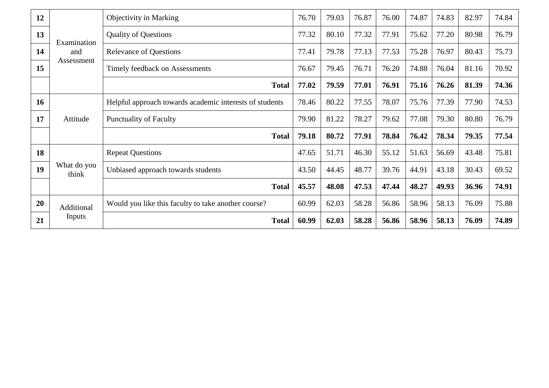| 12 |                                                                                    | <b>Objectivity in Marking</b>                           | 76.70 | 79.03 | 76.87 | 76.00 | 74.87 | 74.83 | 82.97 | 74.84 |
|----|------------------------------------------------------------------------------------|---------------------------------------------------------|-------|-------|-------|-------|-------|-------|-------|-------|
| 13 | <b>Quality of Questions</b><br>Examination<br><b>Relevance of Questions</b><br>and |                                                         | 77.32 | 80.10 | 77.32 | 77.91 | 75.62 | 77.20 | 80.98 | 76.79 |
| 14 |                                                                                    |                                                         | 77.41 | 79.78 | 77.13 | 77.53 | 75.28 | 76.97 | 80.43 | 75.73 |
| 15 | Assessment                                                                         | Timely feedback on Assessments                          | 76.67 | 79.45 | 76.71 | 76.20 | 74.88 | 76.04 | 81.16 | 70.92 |
|    | <b>Total</b>                                                                       |                                                         | 77.02 | 79.59 | 77.01 | 76.91 | 75.16 | 76.26 | 81.39 | 74.36 |
| 16 |                                                                                    | Helpful approach towards academic interests of students | 78.46 | 80.22 | 77.55 | 78.07 | 75.76 | 77.39 | 77.90 | 74.53 |
| 17 | Attitude                                                                           | <b>Punctuality of Faculty</b>                           | 79.90 | 81.22 | 78.27 | 79.62 | 77.08 | 79.30 | 80.80 | 76.79 |
|    |                                                                                    | <b>Total</b>                                            | 79.18 | 80.72 | 77.91 | 78.84 | 76.42 | 78.34 | 79.35 | 77.54 |
| 18 |                                                                                    | <b>Repeat Questions</b>                                 | 47.65 | 51.71 | 46.30 | 55.12 | 51.63 | 56.69 | 43.48 | 75.81 |
| 19 | What do you<br>think                                                               | Unbiased approach towards students                      | 43.50 | 44.45 | 48.77 | 39.76 | 44.91 | 43.18 | 30.43 | 69.52 |
|    |                                                                                    | <b>Total</b>                                            |       | 48.08 | 47.53 | 47.44 | 48.27 | 49.93 | 36.96 | 74.91 |
| 20 | Additional                                                                         | Would you like this faculty to take another course?     | 60.99 | 62.03 | 58.28 | 56.86 | 58.96 | 58.13 | 76.09 | 75.88 |
| 21 | Inputs                                                                             | <b>Total</b>                                            | 60.99 | 62.03 | 58.28 | 56.86 | 58.96 | 58.13 | 76.09 | 74.89 |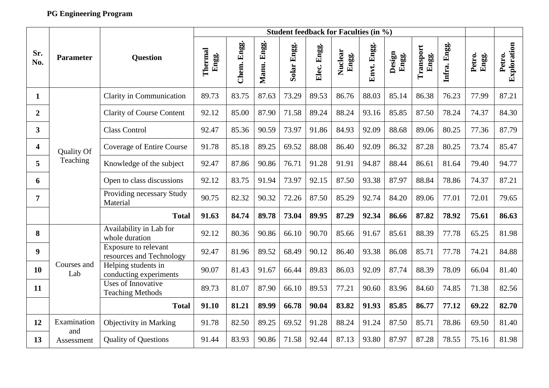## **PG Engineering Program**

|                |                    |                                                         | <b>Student feedback for Faculties (in %)</b> |             |             |             |             |                  |             |                 |                    |              |                 |                       |
|----------------|--------------------|---------------------------------------------------------|----------------------------------------------|-------------|-------------|-------------|-------------|------------------|-------------|-----------------|--------------------|--------------|-----------------|-----------------------|
| Sr.<br>No.     | <b>Parameter</b>   | <b>Question</b>                                         | Thermal<br>Engg.                             | Chem. Engg. | Manu. Engg. | Solar Engg. | Elec. Engg. | Nuclear<br>Engg. | Envt. Engg. | Design<br>Engg. | Transport<br>Engg. | Infra. Engg. | Petro.<br>Engg. | Exploration<br>Petro. |
| 1              |                    | Clarity in Communication                                | 89.73                                        | 83.75       | 87.63       | 73.29       | 89.53       | 86.76            | 88.03       | 85.14           | 86.38              | 76.23        | 77.99           | 87.21                 |
| $\overline{2}$ |                    | <b>Clarity of Course Content</b>                        | 92.12                                        | 85.00       | 87.90       | 71.58       | 89.24       | 88.24            | 93.16       | 85.85           | 87.50              | 78.24        | 74.37           | 84.30                 |
| 3              |                    | <b>Class Control</b>                                    | 92.47                                        | 85.36       | 90.59       | 73.97       | 91.86       | 84.93            | 92.09       | 88.68           | 89.06              | 80.25        | 77.36           | 87.79                 |
| 4              | <b>Quality Of</b>  | <b>Coverage of Entire Course</b>                        | 91.78                                        | 85.18       | 89.25       | 69.52       | 88.08       | 86.40            | 92.09       | 86.32           | 87.28              | 80.25        | 73.74           | 85.47                 |
| 5              | Teaching           | Knowledge of the subject                                | 92.47                                        | 87.86       | 90.86       | 76.71       | 91.28       | 91.91            | 94.87       | 88.44           | 86.61              | 81.64        | 79.40           | 94.77                 |
| 6              |                    | Open to class discussions                               | 92.12                                        | 83.75       | 91.94       | 73.97       | 92.15       | 87.50            | 93.38       | 87.97           | 88.84              | 78.86        | 74.37           | 87.21                 |
| $\overline{7}$ |                    | Providing necessary Study<br>Material                   | 90.75                                        | 82.32       | 90.32       | 72.26       | 87.50       | 85.29            | 92.74       | 84.20           | 89.06              | 77.01        | 72.01           | 79.65                 |
|                |                    | <b>Total</b>                                            | 91.63                                        | 84.74       | 89.78       | 73.04       | 89.95       | 87.29            | 92.34       | 86.66           | 87.82              | 78.92        | 75.61           | 86.63                 |
| 8              |                    | Availability in Lab for<br>whole duration               | 92.12                                        | 80.36       | 90.86       | 66.10       | 90.70       | 85.66            | 91.67       | 85.61           | 88.39              | 77.78        | 65.25           | 81.98                 |
| 9              |                    | <b>Exposure to relevant</b><br>resources and Technology | 92.47                                        | 81.96       | 89.52       | 68.49       | 90.12       | 86.40            | 93.38       | 86.08           | 85.71              | 77.78        | 74.21           | 84.88                 |
| 10             | Courses and<br>Lab | Helping students in<br>conducting experiments           | 90.07                                        | 81.43       | 91.67       | 66.44       | 89.83       | 86.03            | 92.09       | 87.74           | 88.39              | 78.09        | 66.04           | 81.40                 |
| 11             |                    | Uses of Innovative<br><b>Teaching Methods</b>           | 89.73                                        | 81.07       | 87.90       | 66.10       | 89.53       | 77.21            | 90.60       | 83.96           | 84.60              | 74.85        | 71.38           | 82.56                 |
|                |                    | <b>Total</b>                                            | 91.10                                        | 81.21       | 89.99       | 66.78       | 90.04       | 83.82            | 91.93       | 85.85           | 86.77              | 77.12        | 69.22           | 82.70                 |
| 12             | Examination<br>and | <b>Objectivity in Marking</b>                           | 91.78                                        | 82.50       | 89.25       | 69.52       | 91.28       | 88.24            | 91.24       | 87.50           | 85.71              | 78.86        | 69.50           | 81.40                 |
| 13             | Assessment         | <b>Quality of Questions</b>                             | 91.44                                        | 83.93       | 90.86       | 71.58       | 92.44       | 87.13            | 93.80       | 87.97           | 87.28              | 78.55        | 75.16           | 81.98                 |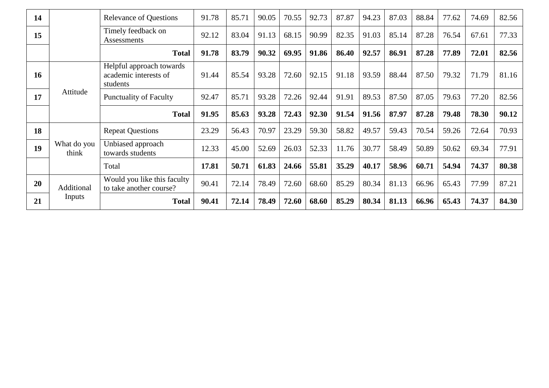| 14 |                      | <b>Relevance of Questions</b>                                 | 91.78 | 85.71 | 90.05 | 70.55 | 92.73 | 87.87 | 94.23 | 87.03 | 88.84 | 77.62 | 74.69 | 82.56 |
|----|----------------------|---------------------------------------------------------------|-------|-------|-------|-------|-------|-------|-------|-------|-------|-------|-------|-------|
| 15 |                      | Timely feedback on<br><b>Assessments</b>                      | 92.12 | 83.04 | 91.13 | 68.15 | 90.99 | 82.35 | 91.03 | 85.14 | 87.28 | 76.54 | 67.61 | 77.33 |
|    |                      | <b>Total</b>                                                  | 91.78 | 83.79 | 90.32 | 69.95 | 91.86 | 86.40 | 92.57 | 86.91 | 87.28 | 77.89 | 72.01 | 82.56 |
| 16 |                      | Helpful approach towards<br>academic interests of<br>students | 91.44 | 85.54 | 93.28 | 72.60 | 92.15 | 91.18 | 93.59 | 88.44 | 87.50 | 79.32 | 71.79 | 81.16 |
| 17 | Attitude             | <b>Punctuality of Faculty</b>                                 | 92.47 | 85.71 | 93.28 | 72.26 | 92.44 | 91.91 | 89.53 | 87.50 | 87.05 | 79.63 | 77.20 | 82.56 |
|    |                      | <b>Total</b>                                                  | 91.95 | 85.63 | 93.28 | 72.43 | 92.30 | 91.54 | 91.56 | 87.97 | 87.28 | 79.48 | 78.30 | 90.12 |
|    |                      |                                                               |       |       |       |       |       |       |       |       |       |       |       |       |
| 18 |                      | <b>Repeat Questions</b>                                       | 23.29 | 56.43 | 70.97 | 23.29 | 59.30 | 58.82 | 49.57 | 59.43 | 70.54 | 59.26 | 72.64 | 70.93 |
| 19 | What do you<br>think | Unbiased approach<br>towards students                         | 12.33 | 45.00 | 52.69 | 26.03 | 52.33 | 11.76 | 30.77 | 58.49 | 50.89 | 50.62 | 69.34 | 77.91 |
|    |                      | Total                                                         | 17.81 | 50.71 | 61.83 | 24.66 | 55.81 | 35.29 | 40.17 | 58.96 | 60.71 | 54.94 | 74.37 | 80.38 |
| 20 | Additional           | Would you like this faculty<br>to take another course?        | 90.41 | 72.14 | 78.49 | 72.60 | 68.60 | 85.29 | 80.34 | 81.13 | 66.96 | 65.43 | 77.99 | 87.21 |